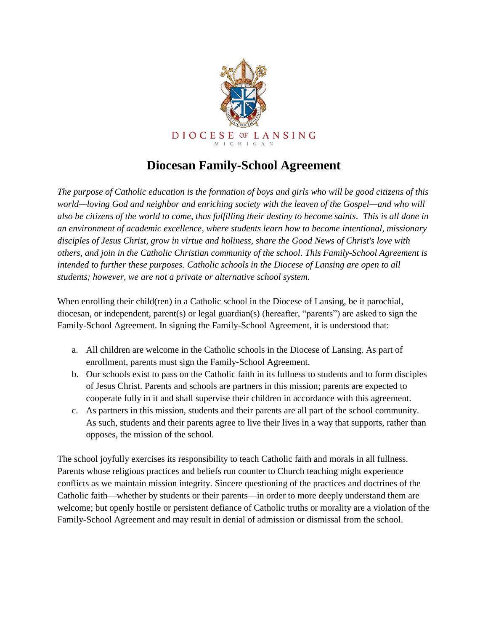

## **Diocesan Family-School Agreement**

*The purpose of Catholic education is the formation of boys and girls who will be good citizens of this world—loving God and neighbor and enriching society with the leaven of the Gospel—and who will also be citizens of the world to come, thus fulfilling their destiny to become saints. This is all done in an environment of academic excellence, where students learn how to become intentional, missionary disciples of Jesus Christ, grow in virtue and holiness, share the Good News of Christ's love with others, and join in the Catholic Christian community of the school. This Family-School Agreement is intended to further these purposes. Catholic schools in the Diocese of Lansing are open to all students; however, we are not a private or alternative school system.*

When enrolling their child(ren) in a Catholic school in the Diocese of Lansing, be it parochial, diocesan, or independent, parent(s) or legal guardian(s) (hereafter, "parents") are asked to sign the Family-School Agreement. In signing the Family-School Agreement, it is understood that:

- a. All children are welcome in the Catholic schools in the Diocese of Lansing. As part of enrollment, parents must sign the Family-School Agreement.
- b. Our schools exist to pass on the Catholic faith in its fullness to students and to form disciples of Jesus Christ. Parents and schools are partners in this mission; parents are expected to cooperate fully in it and shall supervise their children in accordance with this agreement.
- c. As partners in this mission, students and their parents are all part of the school community. As such, students and their parents agree to live their lives in a way that supports, rather than opposes, the mission of the school.

The school joyfully exercises its responsibility to teach Catholic faith and morals in all fullness. Parents whose religious practices and beliefs run counter to Church teaching might experience conflicts as we maintain mission integrity. Sincere questioning of the practices and doctrines of the Catholic faith—whether by students or their parents—in order to more deeply understand them are welcome; but openly hostile or persistent defiance of Catholic truths or morality are a violation of the Family-School Agreement and may result in denial of admission or dismissal from the school.